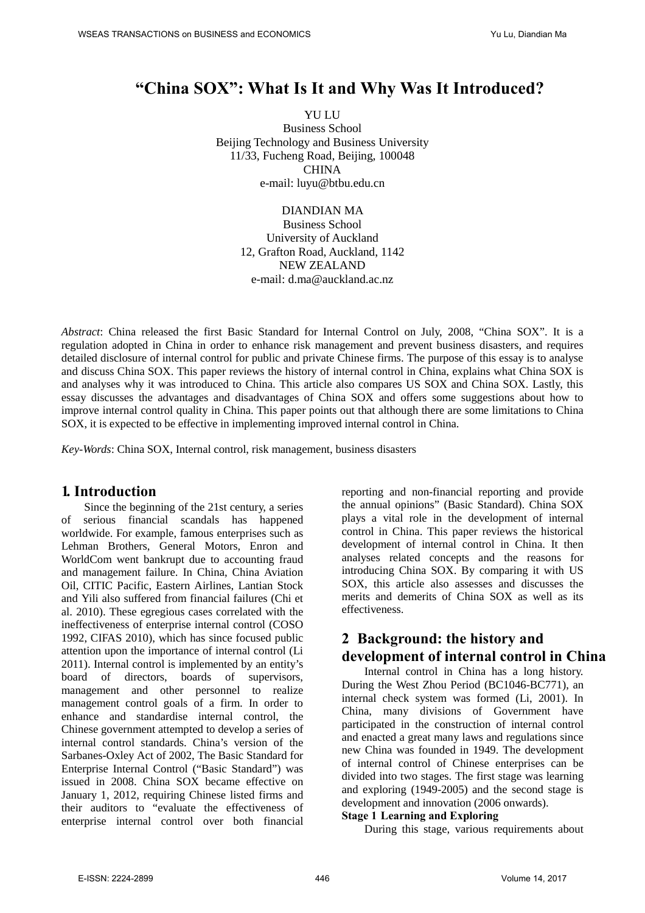# **"China SOX": What Is It and Why Was It Introduced?**

YU LU Business School Beijing Technology and Business University 11/33, Fucheng Road, Beijing, 100048 CHINA e-mail: [luyu@btbu.edu.cn](mailto:luyu@btbu.edu.cn)

> DIANDIAN MA Business School University of Auckland 12, Grafton Road, Auckland, 1142 NEW ZEALAND e-mail: [d.ma@auckland.ac.nz](mailto:d.ma@auckland.ac.nz)

*Abstract*: China released the first Basic Standard for Internal Control on July, 2008, "China SOX". It is a regulation adopted in China in order to enhance risk management and prevent business disasters, and requires detailed disclosure of internal control for public and private Chinese firms. The purpose of this essay is to analyse and discuss China SOX. This paper reviews the history of internal control in China, explains what China SOX is and analyses why it was introduced to China. This article also compares US SOX and China SOX. Lastly, this essay discusses the advantages and disadvantages of China SOX and offers some suggestions about how to improve internal control quality in China. This paper points out that although there are some limitations to China SOX, it is expected to be effective in implementing improved internal control in China.

*Key-Words*: China SOX, Internal control, risk management, business disasters

### **1. Introduction**

<span id="page-0-0"></span>Since the beginning of the 21st century, a series of serious financial scandals has happened worldwide. For example, famous enterprises such as Lehman Brothers, General Motors, Enron and WorldCom went bankrupt due to accounting fraud and management failure. In China, China Aviation Oil, CITIC Pacific, Eastern Airlines, Lantian Stock and Yili also suffered from financial failures (Chi et al. 2010). These egregious cases correlated with the ineffectiveness of enterprise internal control (COSO 1992, CIFAS 2010), which has since focused public attention upon the importance of internal control (Li 2011). Internal control is implemented by an entity's board of directors, boards of supervisors, management and other personnel to realize management control goals of a firm. In order to enhance and standardise internal control, the Chinese government attempted to develop a series of internal control standards. China's version of the Sarbanes-Oxley Act of 2002, The Basic Standard for Enterprise Internal Control ("Basic Standard") was issued in 2008. China SOX became effective on January 1, 2012, requiring Chinese listed firms and their auditors to "evaluate the effectiveness of enterprise internal control over both financial reporting and non-financial reporting and provide the annual opinions" (Basic Standard). China SOX plays a vital role in the development of internal control in China. This paper reviews the historical development of internal control in China. It then analyses related concepts and the reasons for introducing China SOX. By comparing it with US SOX, this article also assesses and discusses the merits and demerits of China SOX as well as its effectiveness.

### **2 Background: the history and development of internal control in China**

Internal control in China has a long history. During the West Zhou Period (BC1046-BC771), an internal check system was formed (Li, 2001). In China, many divisions of Government have participated in the construction of internal control and enacted a great many laws and regulations since new China was founded in 1949. The development of internal control of Chinese enterprises can be divided into two stages. The first stage was learning and exploring (1949-2005) and the second stage is development and innovation (2006 onwards).

#### **Stage 1 Learning and Exploring**

During this stage, various requirements about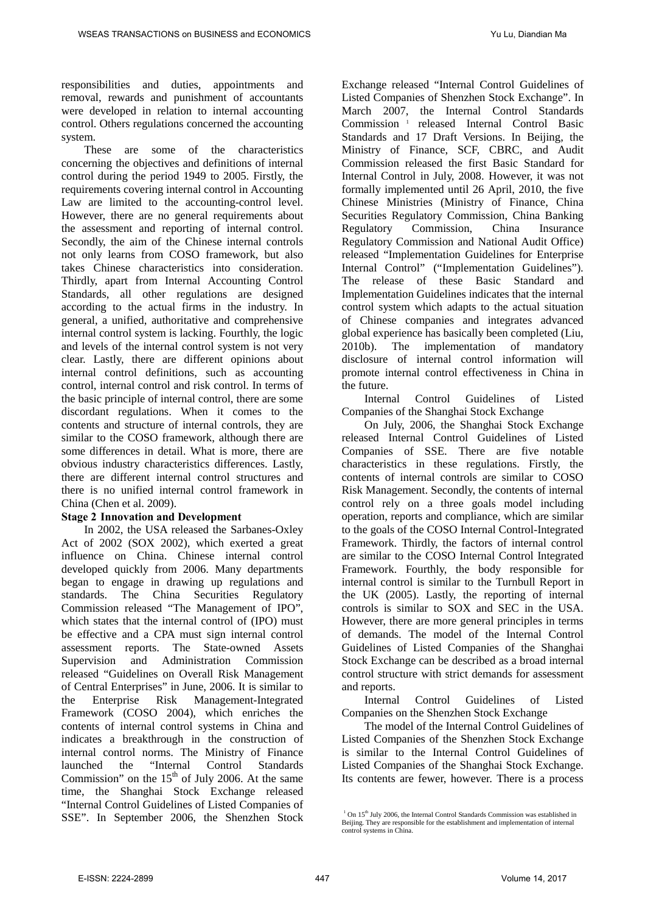responsibilities and duties, appointments and removal, rewards and punishment of accountants were developed in relation to internal accounting control. Others regulations concerned the accounting system.

These are some of the characteristics concerning the objectives and definitions of internal control during the period 1949 to 2005. Firstly, the requirements covering internal control in Accounting Law are limited to the accounting-control level. However, there are no general requirements about the assessment and reporting of internal control. Secondly, the aim of the Chinese internal controls not only learns from COSO framework, but also takes Chinese characteristics into consideration. Thirdly, apart from Internal Accounting Control Standards, all other regulations are designed according to the actual firms in the industry. In general, a unified, authoritative and comprehensive internal control system is lacking. Fourthly, the logic and levels of the internal control system is not very clear. Lastly, there are different opinions about internal control definitions, such as accounting control, internal control and risk control. In terms of the basic principle of internal control, there are some discordant regulations. When it comes to the contents and structure of internal controls, they are similar to the COSO framework, although there are some differences in detail. What is more, there are obvious industry characteristics differences. Lastly, there are different internal control structures and there is no unified internal control framework in China (Chen et al. 2009).

#### **Stage 2 Innovation and Development**

<span id="page-1-0"></span>In 2002, the USA released the Sarbanes-Oxley Act of 2002 (SOX 2002), which exerted a great influence on China. Chinese internal control developed quickly from 2006. Many departments began to engage in drawing up regulations and standards. The China Securities Regulatory Commission released "The Management of IPO", which states that the internal control of (IPO) must be effective and a CPA must sign internal control assessment reports. The State-owned Assets Supervision and Administration Commission released "Guidelines on Overall Risk Management of Central Enterprises" in June, 2006. It is similar to the Enterprise Risk Management-Integrated Framework (COSO 2004), which enriches the contents of internal control systems in China and indicates a breakthrough in the construction of internal control norms. The Ministry of Finance launched the "Internal Control Standards Commission" on the  $15<sup>th</sup>$  of July 2006. At the same time, the Shanghai Stock Exchange released "Internal Control Guidelines of Listed Companies of SSE". In September 2006, the Shenzhen Stock

Exchange released "Internal Control Guidelines of Listed Companies of Shenzhen Stock Exchange". In March 2007, the Internal Control Standards Commission [1](#page-0-0) released Internal Control Basic Standards and 17 Draft Versions. In Beijing, the Ministry of Finance, SCF, CBRC, and Audit Commission released the first Basic Standard for Internal Control in July, 2008. However, it was not formally implemented until 26 April, 2010, the five Chinese Ministries (Ministry of Finance, China Securities Regulatory Commission, China Banking Regulatory Commission, China Insurance Regulatory Commission and National Audit Office) released "Implementation Guidelines for Enterprise Internal Control" ("Implementation Guidelines"). The release of these Basic Standard and Implementation Guidelines indicates that the internal control system which adapts to the actual situation of Chinese companies and integrates advanced global experience has basically been completed (Liu, 2010b). The implementation of mandatory disclosure of internal control information will promote internal control effectiveness in China in the future.

Internal Control Guidelines of Listed Companies of the Shanghai Stock Exchange

On July, 2006, the Shanghai Stock Exchange released Internal Control Guidelines of Listed Companies of SSE. There are five notable characteristics in these regulations. Firstly, the contents of internal controls are similar to COSO Risk Management. Secondly, the contents of internal control rely on a three goals model including operation, reports and compliance, which are similar to the goals of the COSO Internal Control-Integrated Framework. Thirdly, the factors of internal control are similar to the COSO Internal Control Integrated Framework. Fourthly, the body responsible for internal control is similar to the Turnbull Report in the UK (2005). Lastly, the reporting of internal controls is similar to SOX and SEC in the USA. However, there are more general principles in terms of demands. The model of the Internal Control Guidelines of Listed Companies of the Shanghai Stock Exchange can be described as a broad internal control structure with strict demands for assessment and reports.

Internal Control Guidelines of Listed Companies on the Shenzhen Stock Exchange

The model of the Internal Control Guidelines of Listed Companies of the Shenzhen Stock Exchange is similar to the Internal Control Guidelines of Listed Companies of the Shanghai Stock Exchange. Its contents are fewer, however. There is a process

<sup>&</sup>lt;sup>1</sup> On 15<sup>th</sup> July 2006, the Internal Control Standards Commission was established in Beijing. They are responsible for the establishment and implementation of internal control systems in China.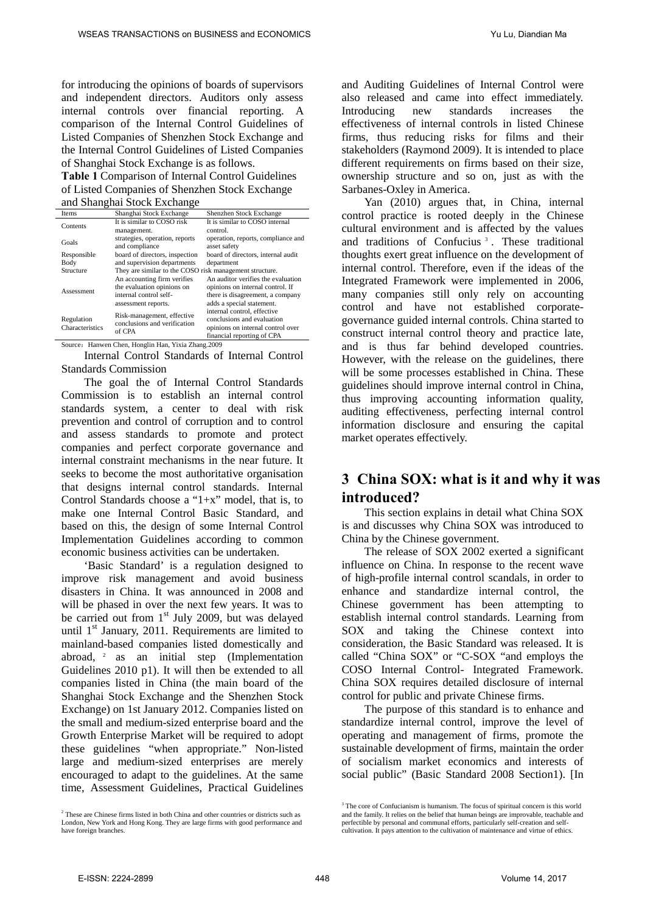for introducing the opinions of boards of supervisors and independent directors. Auditors only assess internal controls over financial reporting. A comparison of the Internal Control Guidelines of Listed Companies of Shenzhen Stock Exchange and the Internal Control Guidelines of Listed Companies of Shanghai Stock Exchange is as follows.

**Table 1** Comparison of Internal Control Guidelines of Listed Companies of Shenzhen Stock Exchange and Shanghai Stock Exchange

| Items                         | Shanghai Stock Exchange                                              | Shenzhen Stock Exchange            |
|-------------------------------|----------------------------------------------------------------------|------------------------------------|
| Contents                      | It is similar to COSO risk                                           | It is similar to COSO internal     |
|                               | management.                                                          | control.                           |
| Goals                         | strategies, operation, reports                                       | operation, reports, compliance and |
|                               | and compliance                                                       | asset safety                       |
| Responsible                   | board of directors, inspection                                       | board of directors, internal audit |
| Body                          | and supervision departments                                          | department                         |
| Structure                     | They are similar to the COSO risk management structure.              |                                    |
| Assessment                    | An accounting firm verifies                                          | An auditor verifies the evaluation |
|                               | the evaluation opinions on                                           | opinions on internal control. If   |
|                               | internal control self-                                               | there is disagreement, a company   |
|                               | assessment reports.                                                  | adds a special statement.          |
| Regulation<br>Characteristics | Risk-management, effective<br>conclusions and verification<br>of CPA | internal control, effective        |
|                               |                                                                      | conclusions and evaluation         |
|                               |                                                                      | opinions on internal control over  |
|                               |                                                                      | financial reporting of CPA         |

Source: Hanwen Chen, Honglin Han, Yixia Zhang.2009

Internal Control Standards of Internal Control Standards Commission

The goal the of Internal Control Standards Commission is to establish an internal control standards system, a center to deal with risk prevention and control of corruption and to control and assess standards to promote and protect companies and perfect corporate governance and internal constraint mechanisms in the near future. It seeks to become the most authoritative organisation that designs internal control standards. Internal Control Standards choose a "1+x" model, that is, to make one Internal Control Basic Standard, and based on this, the design of some Internal Control Implementation Guidelines according to common economic business activities can be undertaken.

'Basic Standard' is a regulation designed to improve risk management and avoid business disasters in China. It was announced in 2008 and will be phased in over the next few years. It was to be carried out from  $1<sup>st</sup>$  July 2009, but was delayed until  $1<sup>st</sup>$  January, 2011. Requirements are limited to mainland-based companies listed domestically and abroad, [2](#page-1-0) as an initial step (Implementation Guidelines 2010 p1). It will then be extended to all companies listed in China (the main board of the Shanghai Stock Exchange and the Shenzhen Stock Exchange) on 1st January 2012. Companies listed on the small and medium-sized enterprise board and the Growth Enterprise Market will be required to adopt these guidelines "when appropriate." Non-listed large and medium-sized enterprises are merely encouraged to adapt to the guidelines. At the same time, Assessment Guidelines, Practical Guidelines

and Auditing Guidelines of Internal Control were also released and came into effect immediately. Introducing new standards increases the effectiveness of internal controls in listed Chinese firms, thus reducing risks for films and their stakeholders (Raymond 2009). It is intended to place different requirements on firms based on their size, ownership structure and so on, just as with the Sarbanes-Oxley in America.

Yan (2010) argues that, in China, internal control practice is rooted deeply in the Chinese cultural environment and is affected by the values and traditions of Confucius<sup>[3](#page-2-0)</sup>. These traditional thoughts exert great influence on the development of internal control. Therefore, even if the ideas of the Integrated Framework were implemented in 2006, many companies still only rely on accounting control and have not established corporategovernance guided internal controls. China started to construct internal control theory and practice late, and is thus far behind developed countries. However, with the release on the guidelines, there will be some processes established in China. These guidelines should improve internal control in China, thus improving accounting information quality, auditing effectiveness, perfecting internal control information disclosure and ensuring the capital market operates effectively.

# **3 China SOX: what is it and why it was introduced?**

This section explains in detail what China SOX is and discusses why China SOX was introduced to China by the Chinese government.

The release of SOX 2002 exerted a significant influence on China. In response to the recent wave of high-profile internal control scandals, in order to enhance and standardize internal control, the Chinese government has been attempting to establish internal control standards. Learning from SOX and taking the Chinese context into consideration, the Basic Standard was released. It is called "China SOX" or "C-SOX "and employs the COSO Internal Control- Integrated Framework. China SOX requires detailed disclosure of internal control for public and private Chinese firms.

The purpose of this standard is to enhance and standardize internal control, improve the level of operating and management of firms, promote the sustainable development of firms, maintain the order of socialism market economics and interests of social public" (Basic Standard 2008 Section1). [In

<span id="page-2-0"></span><sup>&</sup>lt;sup>2</sup> These are Chinese firms listed in both China and other countries or districts such as London, New York and Hong Kong. They are large firms with good performance and have foreign branches.

<sup>&</sup>lt;sup>3</sup> The core of Confucianism i[s humanism.](http://en.wikipedia.org/wiki/Humanism) The focus of spiritual concern is this world and the family. It relies on the belief that human beings are improvable, teachable and perfectible by personal and communal efforts, particularly self-creation and selfcultivation. It pays attention to the cultivation of maintenance and virtue of ethics.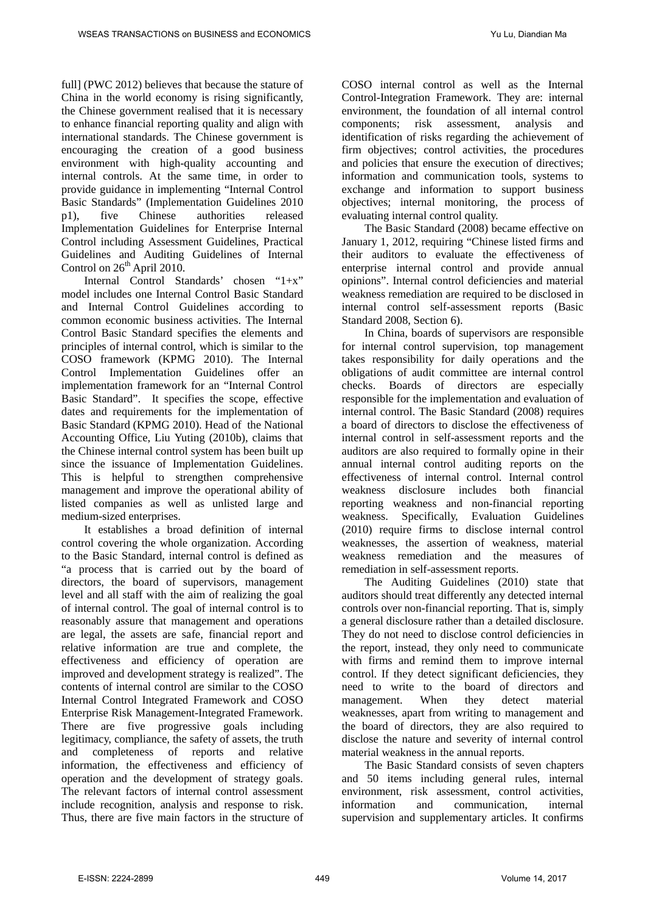full] (PWC 2012) believes that because the stature of China in the world economy is rising significantly, the Chinese government realised that it is necessary to enhance financial reporting quality and align with international standards. The Chinese government is encouraging the creation of a good business environment with high-quality accounting and internal controls. At the same time, in order to provide guidance in implementing "Internal Control Basic Standards" (Implementation Guidelines 2010 p1), five Chinese authorities released Implementation Guidelines for Enterprise Internal Control including Assessment Guidelines, Practical Guidelines and Auditing Guidelines of Internal Control on 26<sup>th</sup> April 2010.

Internal Control Standards' chosen "1+x" model includes one Internal Control Basic Standard and Internal Control Guidelines according to common economic business activities. The Internal Control Basic Standard specifies the elements and principles of internal control, which is similar to the COSO framework (KPMG 2010). The Internal Control Implementation Guidelines offer an implementation framework for an "Internal Control Basic Standard". It specifies the scope, effective dates and requirements for the implementation of Basic Standard (KPMG 2010). Head of the National Accounting Office, Liu Yuting (2010b), claims that the Chinese internal control system has been built up since the issuance of Implementation Guidelines. This is helpful to strengthen comprehensive management and improve the operational ability of listed companies as well as unlisted large and medium-sized enterprises.

It establishes a broad definition of internal control covering the whole organization. According to the Basic Standard, internal control is defined as "a process that is carried out by the board of directors, the board of supervisors, management level and all staff with the aim of realizing the goal of internal control. The goal of internal control is to reasonably assure that management and operations are legal, the assets are safe, financial report and relative information are true and complete, the effectiveness and efficiency of operation are improved and development strategy is realized". The contents of internal control are similar to the COSO Internal Control Integrated Framework and COSO Enterprise Risk Management-Integrated Framework. There are five progressive goals including legitimacy, compliance, the safety of assets, the truth and completeness of reports and relative information, the effectiveness and efficiency of operation and the development of strategy goals. The relevant factors of internal control assessment include recognition, analysis and response to risk. Thus, there are five main factors in the structure of COSO internal control as well as the Internal Control-Integration Framework. They are: internal environment, the foundation of all internal control<br>components; risk assessment, analysis and components; risk assessment, analysis and identification of risks regarding the achievement of firm objectives; control activities, the procedures and policies that ensure the execution of directives; information and communication tools, systems to exchange and information to support business objectives; internal monitoring, the process of evaluating internal control quality.

The Basic Standard (2008) became effective on January 1, 2012, requiring "Chinese listed firms and their auditors to evaluate the effectiveness of enterprise internal control and provide annual opinions". Internal control deficiencies and material weakness remediation are required to be disclosed in internal control self-assessment reports (Basic Standard 2008, Section 6).

In China, boards of supervisors are responsible for internal control supervision, top management takes responsibility for daily operations and the obligations of audit committee are internal control checks. Boards of directors are especially responsible for the implementation and evaluation of internal control. The Basic Standard (2008) requires a board of directors to disclose the effectiveness of internal control in self-assessment reports and the auditors are also required to formally opine in their annual internal control auditing reports on the effectiveness of internal control. Internal control weakness disclosure includes both financial reporting weakness and non-financial reporting weakness. Specifically, Evaluation Guidelines (2010) require firms to disclose internal control weaknesses, the assertion of weakness, material weakness remediation and the measures of remediation in self-assessment reports.

The Auditing Guidelines (2010) state that auditors should treat differently any detected internal controls over non-financial reporting. That is, simply a general disclosure rather than a detailed disclosure. They do not need to disclose control deficiencies in the report, instead, they only need to communicate with firms and remind them to improve internal control. If they detect significant deficiencies, they need to write to the board of directors and management. When they detect material weaknesses, apart from writing to management and the board of directors, they are also required to disclose the nature and severity of internal control material weakness in the annual reports.

The Basic Standard consists of seven chapters and 50 items including general rules, internal environment, risk assessment, control activities, information and communication, internal supervision and supplementary articles. It confirms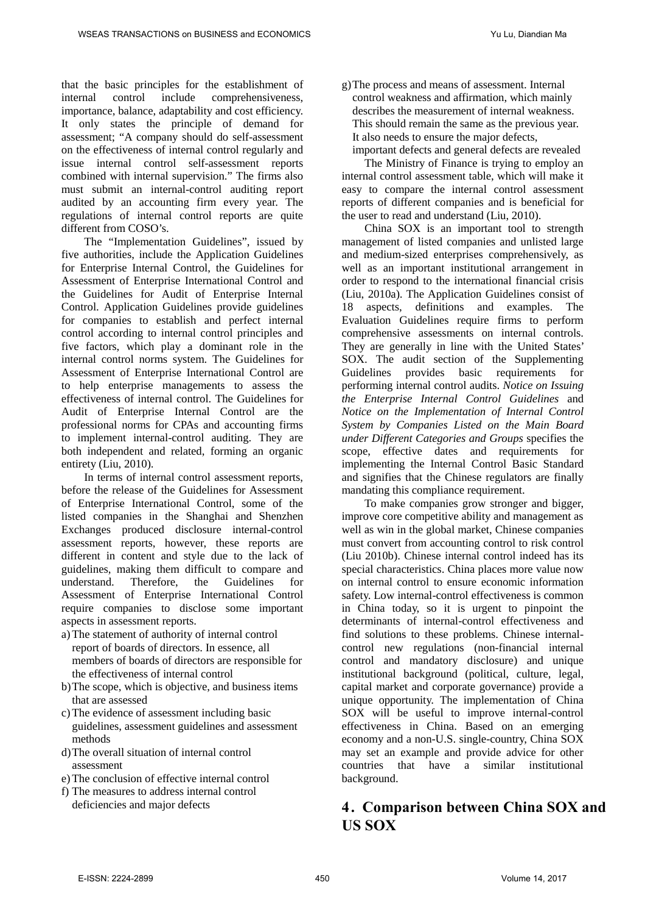that the basic principles for the establishment of internal control include comprehensiveness, importance, balance, adaptability and cost efficiency. It only states the principle of demand for assessment; "A company should do self-assessment on the effectiveness of internal control regularly and issue internal control self-assessment reports combined with internal supervision." The firms also must submit an internal-control auditing report audited by an accounting firm every year. The regulations of internal control reports are quite different from COSO's.

The "Implementation Guidelines", issued by five authorities, include the Application Guidelines for Enterprise Internal Control, the Guidelines for Assessment of Enterprise International Control and the Guidelines for Audit of Enterprise Internal Control. Application Guidelines provide guidelines for companies to establish and perfect internal control according to internal control principles and five factors, which play a dominant role in the internal control norms system. The Guidelines for Assessment of Enterprise International Control are to help enterprise managements to assess the effectiveness of internal control. The Guidelines for Audit of Enterprise Internal Control are the professional norms for CPAs and accounting firms to implement internal-control auditing. They are both independent and related, forming an organic entirety (Liu, 2010).

In terms of internal control assessment reports, before the release of the Guidelines for Assessment of Enterprise International Control, some of the listed companies in the Shanghai and Shenzhen Exchanges produced disclosure internal-control assessment reports, however, these reports are different in content and style due to the lack of guidelines, making them difficult to compare and understand. Therefore, the Guidelines for Assessment of Enterprise International Control require companies to disclose some important aspects in assessment reports.

- a) The statement of authority of internal control report of boards of directors. In essence, all members of boards of directors are responsible for the effectiveness of internal control
- b)The scope, which is objective, and business items that are assessed
- c) The evidence of assessment including basic guidelines, assessment guidelines and assessment methods
- d)The overall situation of internal control assessment
- e) The conclusion of effective internal control
- f) The measures to address internal control deficiencies and major defects

g)The process and means of assessment. Internal control weakness and affirmation, which mainly describes the measurement of internal weakness. This should remain the same as the previous year. It also needs to ensure the major defects, important defects and general defects are revealed

The Ministry of Finance is trying to employ an internal control assessment table, which will make it easy to compare the internal control assessment reports of different companies and is beneficial for the user to read and understand (Liu, 2010).

China SOX is an important tool to strength management of listed companies and unlisted large and medium-sized enterprises comprehensively, as well as an important institutional arrangement in order to respond to the international financial crisis (Liu, 2010a). The Application Guidelines consist of 18 aspects, definitions and examples. The Evaluation Guidelines require firms to perform comprehensive assessments on internal controls. They are generally in line with the United States' SOX. The audit section of the Supplementing Guidelines provides basic requirements for performing internal control audits. *Notice on Issuing the Enterprise Internal Control Guidelines* and *Notice on the Implementation of Internal Control System by Companies Listed on the Main Board under Different Categories and Groups* specifies the scope, effective dates and requirements for implementing the Internal Control Basic Standard and signifies that the Chinese regulators are finally mandating this compliance requirement.

To make companies grow stronger and bigger, improve core competitive ability and management as well as win in the global market, Chinese companies must convert from accounting control to risk control (Liu 2010b). Chinese internal control indeed has its special characteristics. China places more value now on internal control to ensure economic information safety. Low internal-control effectiveness is common in China today, so it is urgent to pinpoint the determinants of internal-control effectiveness and find solutions to these problems. Chinese internalcontrol new regulations (non-financial internal control and mandatory disclosure) and unique institutional background (political, culture, legal, capital market and corporate governance) provide a unique opportunity. The implementation of China SOX will be useful to improve internal-control effectiveness in China. Based on an emerging economy and a non-U.S. single-country, China SOX may set an example and provide advice for other countries that have a similar institutional background.

# **4. Comparison between China SOX and US SOX**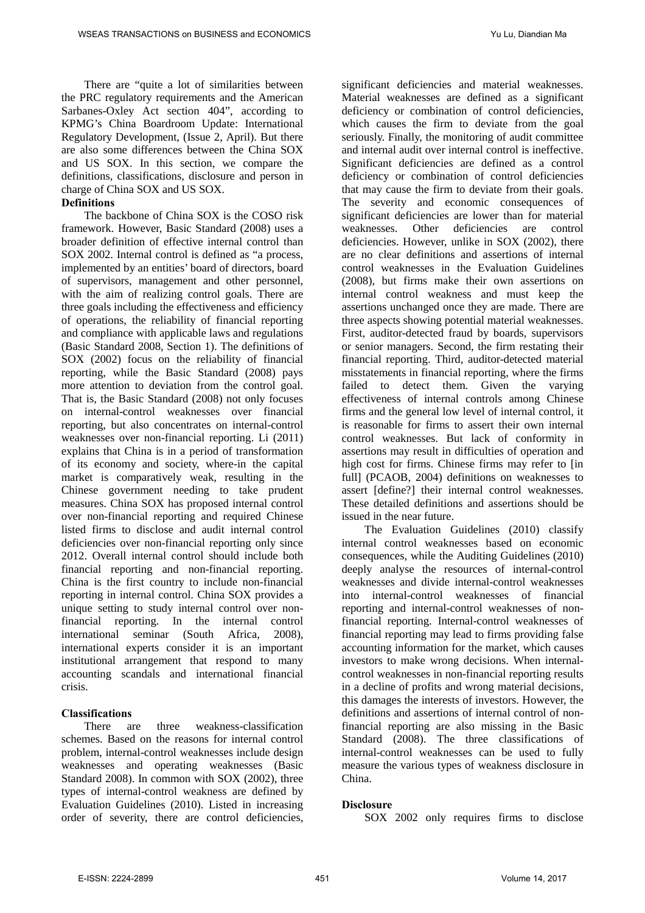There are "quite a lot of similarities between the PRC regulatory requirements and the American Sarbanes-Oxley Act section 404", according to KPMG's China Boardroom Update: International Regulatory Development, (Issue 2, April). But there are also some differences between the China SOX and US SOX. In this section, we compare the definitions, classifications, disclosure and person in charge of China SOX and US SOX.

#### **Definitions**

The backbone of China SOX is the COSO risk framework. However, Basic Standard (2008) uses a broader definition of effective internal control than SOX 2002. Internal control is defined as "a process, implemented by an entities' board of directors, board of supervisors, management and other personnel, with the aim of realizing control goals. There are three goals including the effectiveness and efficiency of operations, the reliability of financial reporting and compliance with applicable laws and regulations (Basic Standard 2008, Section 1). The definitions of SOX (2002) focus on the reliability of financial reporting, while the Basic Standard (2008) pays more attention to deviation from the control goal. That is, the Basic Standard (2008) not only focuses on internal-control weaknesses over financial reporting, but also concentrates on internal-control weaknesses over non-financial reporting. Li (2011) explains that China is in a period of transformation of its economy and society, where-in the capital market is comparatively weak, resulting in the Chinese government needing to take prudent measures. China SOX has proposed internal control over non-financial reporting and required Chinese listed firms to disclose and audit internal control deficiencies over non-financial reporting only since 2012. Overall internal control should include both financial reporting and non-financial reporting. China is the first country to include non-financial reporting in internal control. China SOX provides a unique setting to study internal control over nonfinancial reporting. In the internal control international seminar (South Africa, 2008), international experts consider it is an important institutional arrangement that respond to many accounting scandals and international financial crisis.

#### **Classifications**

There are three weakness-classification schemes. Based on the reasons for internal control problem, internal-control weaknesses include design weaknesses and operating weaknesses (Basic Standard 2008). In common with SOX (2002), three types of internal-control weakness are defined by Evaluation Guidelines (2010). Listed in increasing order of severity, there are control deficiencies, significant deficiencies and material weaknesses. Material weaknesses are defined as a significant deficiency or combination of control deficiencies, which causes the firm to deviate from the goal seriously. Finally, the monitoring of audit committee and internal audit over internal control is ineffective. Significant deficiencies are defined as a control deficiency or combination of control deficiencies that may cause the firm to deviate from their goals. The severity and economic consequences of significant deficiencies are lower than for material weaknesses. Other deficiencies are control deficiencies. However, unlike in SOX (2002), there are no clear definitions and assertions of internal control weaknesses in the Evaluation Guidelines (2008), but firms make their own assertions on internal control weakness and must keep the assertions unchanged once they are made. There are three aspects showing potential material weaknesses. First, auditor-detected fraud by boards, supervisors or senior managers. Second, the firm restating their financial reporting. Third, auditor-detected material misstatements in financial reporting, where the firms failed to detect them. Given the varying effectiveness of internal controls among Chinese firms and the general low level of internal control, it is reasonable for firms to assert their own internal control weaknesses. But lack of conformity in assertions may result in difficulties of operation and high cost for firms. Chinese firms may refer to [in full] (PCAOB, 2004) definitions on weaknesses to assert [define?] their internal control weaknesses. These detailed definitions and assertions should be issued in the near future.

The Evaluation Guidelines (2010) classify internal control weaknesses based on economic consequences, while the Auditing Guidelines (2010) deeply analyse the resources of internal-control weaknesses and divide internal-control weaknesses into internal-control weaknesses of financial reporting and internal-control weaknesses of nonfinancial reporting. Internal-control weaknesses of financial reporting may lead to firms providing false accounting information for the market, which causes investors to make wrong decisions. When internalcontrol weaknesses in non-financial reporting results in a decline of profits and wrong material decisions, this damages the interests of investors. However, the definitions and assertions of internal control of nonfinancial reporting are also missing in the Basic Standard (2008). The three classifications of internal-control weaknesses can be used to fully measure the various types of weakness disclosure in China.

#### **Disclosure**

SOX 2002 only requires firms to disclose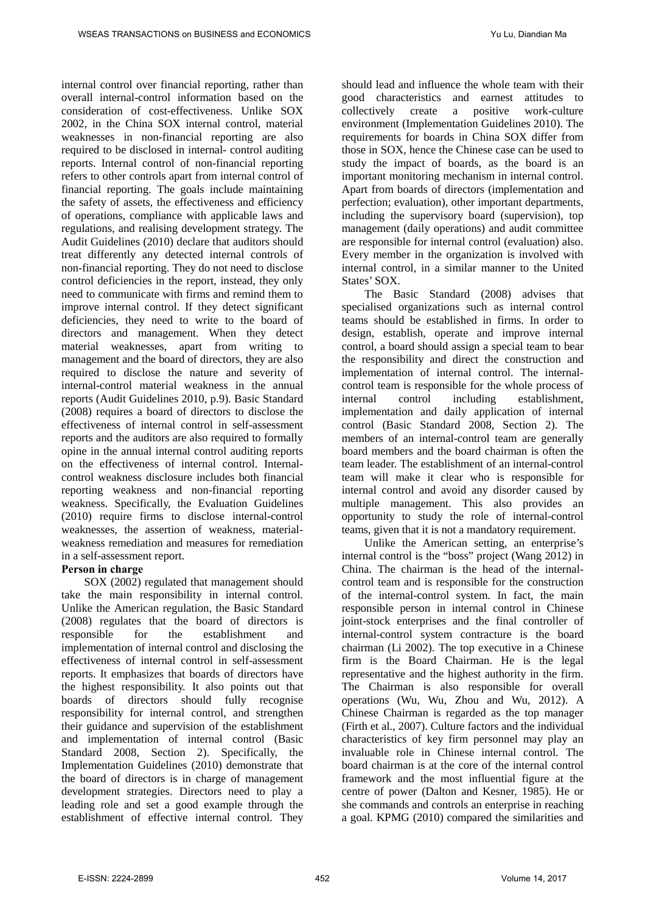internal control over financial reporting, rather than overall internal-control information based on the consideration of cost-effectiveness. Unlike SOX 2002, in the China SOX internal control, material weaknesses in non-financial reporting are also required to be disclosed in internal- control auditing reports. Internal control of non-financial reporting refers to other controls apart from internal control of financial reporting. The goals include maintaining the safety of assets, the effectiveness and efficiency of operations, compliance with applicable laws and regulations, and realising development strategy. The Audit Guidelines (2010) declare that auditors should treat differently any detected internal controls of non-financial reporting. They do not need to disclose control deficiencies in the report, instead, they only need to communicate with firms and remind them to improve internal control. If they detect significant deficiencies, they need to write to the board of directors and management. When they detect material weaknesses, apart from writing to management and the board of directors, they are also required to disclose the nature and severity of internal-control material weakness in the annual reports (Audit Guidelines 2010, p.9). Basic Standard (2008) requires a board of directors to disclose the effectiveness of internal control in self-assessment reports and the auditors are also required to formally opine in the annual internal control auditing reports on the effectiveness of internal control. Internalcontrol weakness disclosure includes both financial reporting weakness and non-financial reporting weakness. Specifically, the Evaluation Guidelines (2010) require firms to disclose internal-control weaknesses, the assertion of weakness, materialweakness remediation and measures for remediation in a self-assessment report.

#### **Person in charge**

SOX (2002) regulated that management should take the main responsibility in internal control. Unlike the American regulation, the Basic Standard (2008) regulates that the board of directors is responsible for the establishment and implementation of internal control and disclosing the effectiveness of internal control in self-assessment reports. It emphasizes that boards of directors have the highest responsibility. It also points out that boards of directors should fully recognise responsibility for internal control, and strengthen their guidance and supervision of the establishment and implementation of internal control (Basic Standard 2008, Section 2). Specifically, the Implementation Guidelines (2010) demonstrate that the board of directors is in charge of management development strategies. Directors need to play a leading role and set a good example through the establishment of effective internal control. They

should lead and influence the whole team with their good characteristics and earnest attitudes to<br>collectively create a positive work-culture collectively create a positive work-culture environment (Implementation Guidelines 2010). The requirements for boards in China SOX differ from those in SOX, hence the Chinese case can be used to study the impact of boards, as the board is an important monitoring mechanism in internal control. Apart from boards of directors (implementation and perfection; evaluation), other important departments, including the supervisory board (supervision), top management (daily operations) and audit committee are responsible for internal control (evaluation) also. Every member in the organization is involved with internal control, in a similar manner to the United States' SOX.

The Basic Standard (2008) advises that specialised organizations such as internal control teams should be established in firms. In order to design, establish, operate and improve internal control, a board should assign a special team to bear the responsibility and direct the construction and implementation of internal control. The internalcontrol team is responsible for the whole process of<br>internal control including establishment. internal control including establishment, implementation and daily application of internal control (Basic Standard 2008, Section 2). The members of an internal-control team are generally board members and the board chairman is often the team leader. The establishment of an internal-control team will make it clear who is responsible for internal control and avoid any disorder caused by multiple management. This also provides an opportunity to study the role of internal-control teams, given that it is not a mandatory requirement.

Unlike the American setting, an enterprise's internal control is the "boss" project (Wang 2012) in China. The chairman is the head of the internalcontrol team and is responsible for the construction of the internal-control system. In fact, the main responsible person in internal control in Chinese joint-stock enterprises and the final controller of internal-control system contracture is the board chairman (Li 2002). The top executive in a Chinese firm is the Board Chairman. He is the legal representative and the highest authority in the firm. The Chairman is also responsible for overall operations (Wu, Wu, Zhou and Wu, 2012). A Chinese Chairman is regarded as the top manager (Firth et al., 2007). Culture factors and the individual characteristics of key firm personnel may play an invaluable role in Chinese internal control. The board chairman is at the core of the internal control framework and the most influential figure at the centre of power (Dalton and Kesner, 1985). He or she commands and controls an enterprise in reaching a goal. KPMG (2010) compared the similarities and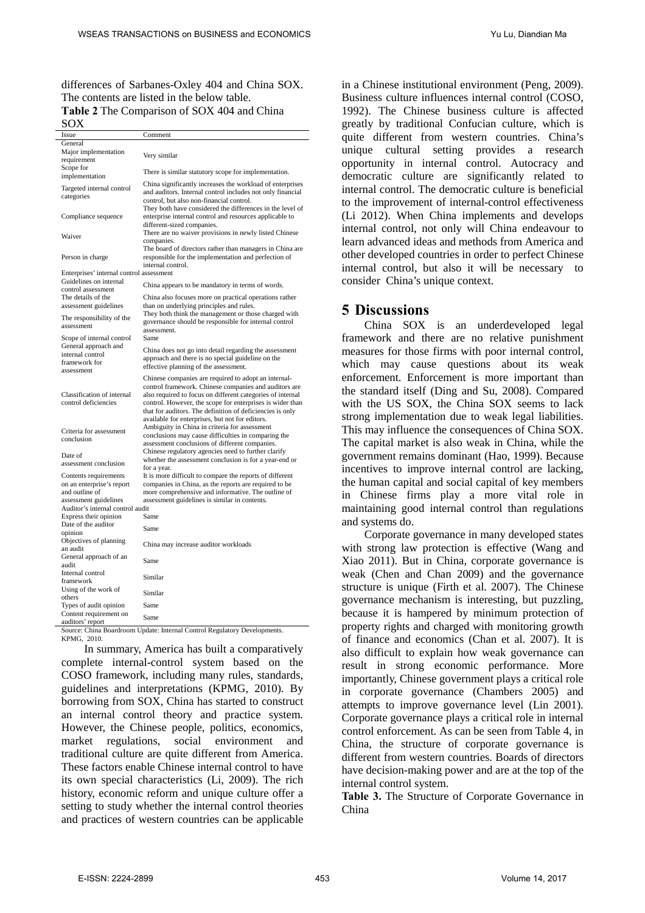differences of Sarbanes-Oxley 404 and China SOX. The contents are listed in the below table. **Table 2** The Comparison of SOX 404 and China

SOX

| Issue                                                                     | Comment                                                                                                           |  |  |
|---------------------------------------------------------------------------|-------------------------------------------------------------------------------------------------------------------|--|--|
| General                                                                   |                                                                                                                   |  |  |
| Major implementation                                                      |                                                                                                                   |  |  |
| requirement                                                               | Very similar                                                                                                      |  |  |
| Scope for                                                                 |                                                                                                                   |  |  |
| implementation                                                            | There is similar statutory scope for implementation.                                                              |  |  |
|                                                                           | China significantly increases the workload of enterprises                                                         |  |  |
| Targeted internal control                                                 | and auditors. Internal control includes not only financial                                                        |  |  |
| categories                                                                | control, but also non-financial control.                                                                          |  |  |
|                                                                           | They both have considered the differences in the level of                                                         |  |  |
| Compliance sequence                                                       | enterprise internal control and resources applicable to                                                           |  |  |
|                                                                           | different-sized companies.                                                                                        |  |  |
|                                                                           | There are no waiver provisions in newly listed Chinese                                                            |  |  |
| Waiver                                                                    |                                                                                                                   |  |  |
|                                                                           | companies.                                                                                                        |  |  |
|                                                                           | The board of directors rather than managers in China are                                                          |  |  |
| Person in charge                                                          | responsible for the implementation and perfection of                                                              |  |  |
|                                                                           | internal control.                                                                                                 |  |  |
| Enterprises' internal control assessment                                  |                                                                                                                   |  |  |
| Guidelines on internal                                                    | China appears to be mandatory in terms of words.                                                                  |  |  |
| control assessment                                                        |                                                                                                                   |  |  |
| The details of the                                                        | China also focuses more on practical operations rather                                                            |  |  |
| assessment guidelines                                                     | than on underlying principles and rules.                                                                          |  |  |
| The responsibility of the                                                 | They both think the management or those charged with                                                              |  |  |
| assessment                                                                | governance should be responsible for internal control                                                             |  |  |
|                                                                           | assessment.                                                                                                       |  |  |
| Scope of internal control                                                 | Same                                                                                                              |  |  |
| General approach and                                                      |                                                                                                                   |  |  |
| internal control                                                          | China does not go into detail regarding the assessment                                                            |  |  |
| framework for                                                             | approach and there is no special guideline on the                                                                 |  |  |
| assessment                                                                | effective planning of the assessment.                                                                             |  |  |
|                                                                           | Chinese companies are required to adopt an internal-                                                              |  |  |
|                                                                           | control framework. Chinese companies and auditors are                                                             |  |  |
| Classification of internal                                                | also required to focus on different categories of internal                                                        |  |  |
| control deficiencies                                                      | control. However, the scope for enterprises is wider than                                                         |  |  |
|                                                                           | that for auditors. The definition of deficiencies is only                                                         |  |  |
|                                                                           | available for enterprises, but not for editors.                                                                   |  |  |
|                                                                           | Ambiguity in China in criteria for assessment                                                                     |  |  |
| Criteria for assessment                                                   | conclusions may cause difficulties in comparing the                                                               |  |  |
| conclusion                                                                | assessment conclusions of different companies.                                                                    |  |  |
|                                                                           | Chinese regulatory agencies need to further clarify                                                               |  |  |
| Date of                                                                   | whether the assessment conclusion is for a year-end or                                                            |  |  |
| assessment conclusion                                                     | for a year.                                                                                                       |  |  |
|                                                                           |                                                                                                                   |  |  |
| Contents requirements<br>on an enterprise's report                        | It is more difficult to compare the reports of different<br>companies in China, as the reports are required to be |  |  |
| and outline of                                                            |                                                                                                                   |  |  |
|                                                                           | more comprehensive and informative. The outline of                                                                |  |  |
| assessment guidelines                                                     | assessment guidelines is similar in contents.                                                                     |  |  |
| Auditor's internal control audit                                          |                                                                                                                   |  |  |
| Express their opinion                                                     | Same                                                                                                              |  |  |
| Date of the auditor                                                       | Same                                                                                                              |  |  |
| opinion                                                                   |                                                                                                                   |  |  |
| Objectives of planning                                                    | China may increase auditor workloads                                                                              |  |  |
| an audit                                                                  |                                                                                                                   |  |  |
| General approach of an                                                    | Same                                                                                                              |  |  |
| audit                                                                     |                                                                                                                   |  |  |
| Internal control                                                          | Similar                                                                                                           |  |  |
| framework                                                                 |                                                                                                                   |  |  |
| Using of the work of                                                      |                                                                                                                   |  |  |
| others                                                                    | Similar                                                                                                           |  |  |
| Types of audit opinion                                                    | Same                                                                                                              |  |  |
| Content requirement on                                                    |                                                                                                                   |  |  |
| auditors' report                                                          | Same                                                                                                              |  |  |
| Source: China Boardroom Update: Internal Control Regulatory Developments. |                                                                                                                   |  |  |

KPMG, 2010.

In summary, America has built a comparatively complete internal-control system based on the COSO framework, including many rules, standards, guidelines and interpretations (KPMG, 2010). By borrowing from SOX, China has started to construct an internal control theory and practice system. However, the Chinese people, politics, economics, market regulations, social environment and traditional culture are quite different from America. These factors enable Chinese internal control to have its own special characteristics (Li, 2009). The rich history, economic reform and unique culture offer a setting to study whether the internal control theories and practices of western countries can be applicable

in a Chinese institutional environment (Peng, 2009). Business culture influences internal control (COSO, 1992). The Chinese business culture is affected greatly by traditional Confucian culture, which is quite different from western countries. China's unique cultural setting provides a research opportunity in internal control. Autocracy and democratic culture are significantly related to internal control. The democratic culture is beneficial to the improvement of internal-control effectiveness (Li 2012). When China implements and develops internal control, not only will China endeavour to learn advanced ideas and methods from America and other developed countries in order to perfect Chinese internal control, but also it will be necessary to consider China's unique context.

### **5 Discussions**

China SOX is an underdeveloped legal framework and there are no relative punishment measures for those firms with poor internal control, which may cause questions about its weak enforcement. Enforcement is more important than the standard itself (Ding and Su, 2008). Compared with the US SOX, the China SOX seems to lack strong implementation due to weak legal liabilities. This may influence the consequences of China SOX. The capital market is also weak in China, while the government remains dominant (Hao, 1999). Because incentives to improve internal control are lacking, the human capital and social capital of key members in Chinese firms play a more vital role in maintaining good internal control than regulations and systems do.

Corporate governance in many developed states with strong law protection is effective (Wang and Xiao 2011). But in China, corporate governance is weak (Chen and Chan 2009) and the governance structure is unique (Firth et al. 2007). The Chinese governance mechanism is interesting, but puzzling, because it is hampered by minimum protection of property rights and charged with monitoring growth of finance and economics (Chan et al. 2007). It is also difficult to explain how weak governance can result in strong economic performance. More importantly, Chinese government plays a critical role in corporate governance (Chambers 2005) and attempts to improve governance level (Lin 2001). Corporate governance plays a critical role in internal control enforcement. As can be seen from Table 4, in China, the structure of corporate governance is different from western countries. Boards of directors have decision-making power and are at the top of the internal control system.

**Table 3.** The Structure of Corporate Governance in China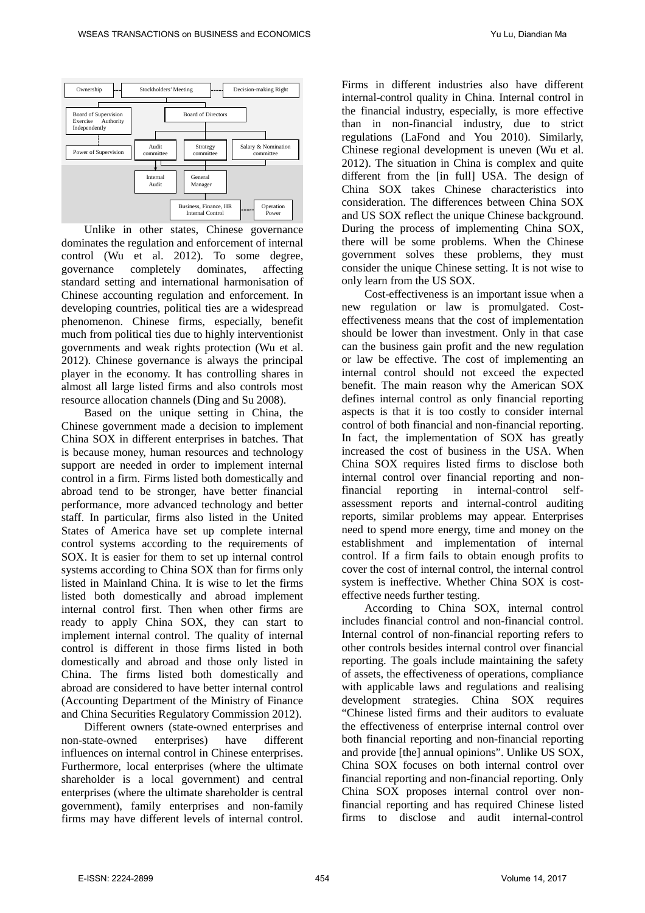

Unlike in other states, Chinese governance dominates the regulation and enforcement of internal control (Wu et al. 2012). To some degree,<br>governance completely dominates, affecting governance completely dominates, affecting standard setting and international harmonisation of Chinese accounting regulation and enforcement. In developing countries, political ties are a widespread phenomenon. Chinese firms, especially, benefit much from political ties due to highly interventionist governments and weak rights protection (Wu et al. 2012). Chinese governance is always the principal player in the economy. It has controlling shares in almost all large listed firms and also controls most resource allocation channels (Ding and Su 2008).

Based on the unique setting in China, the Chinese government made a decision to implement China SOX in different enterprises in batches. That is because money, human resources and technology support are needed in order to implement internal control in a firm. Firms listed both domestically and abroad tend to be stronger, have better financial performance, more advanced technology and better staff. In particular, firms also listed in the United States of America have set up complete internal control systems according to the requirements of SOX. It is easier for them to set up internal control systems according to China SOX than for firms only listed in Mainland China. It is wise to let the firms listed both domestically and abroad implement internal control first. Then when other firms are ready to apply China SOX, they can start to implement internal control. The quality of internal control is different in those firms listed in both domestically and abroad and those only listed in China. The firms listed both domestically and abroad are considered to have better internal control (Accounting Department of the Ministry of Finance and China Securities Regulatory Commission 2012).

Different owners (state-owned enterprises and non-state-owned enterprises) have different influences on internal control in Chinese enterprises. Furthermore, local enterprises (where the ultimate shareholder is a local government) and central enterprises (where the ultimate shareholder is central government), family enterprises and non-family firms may have different levels of internal control. Firms in different industries also have different internal-control quality in China. Internal control in the financial industry, especially, is more effective than in non-financial industry, due to strict regulations (LaFond and You 2010). Similarly, Chinese regional development is uneven (Wu et al. 2012). The situation in China is complex and quite different from the [in full] USA. The design of China SOX takes Chinese characteristics into consideration. The differences between China SOX and US SOX reflect the unique Chinese background. During the process of implementing China SOX, there will be some problems. When the Chinese government solves these problems, they must consider the unique Chinese setting. It is not wise to only learn from the US SOX.

Cost-effectiveness is an important issue when a new regulation or law is promulgated. Costeffectiveness means that the cost of implementation should be lower than investment. Only in that case can the business gain profit and the new regulation or law be effective. The cost of implementing an internal control should not exceed the expected benefit. The main reason why the American SOX defines internal control as only financial reporting aspects is that it is too costly to consider internal control of both financial and non-financial reporting. In fact, the implementation of SOX has greatly increased the cost of business in the USA. When China SOX requires listed firms to disclose both internal control over financial reporting and nonfinancial reporting in internal-control selfassessment reports and internal-control auditing reports, similar problems may appear. Enterprises need to spend more energy, time and money on the establishment and implementation of internal control. If a firm fails to obtain enough profits to cover the cost of internal control, the internal control system is ineffective. Whether China SOX is costeffective needs further testing.

According to China SOX, internal control includes financial control and non-financial control. Internal control of non-financial reporting refers to other controls besides internal control over financial reporting. The goals include maintaining the safety of assets, the effectiveness of operations, compliance with applicable laws and regulations and realising development strategies. China SOX requires "Chinese listed firms and their auditors to evaluate the effectiveness of enterprise internal control over both financial reporting and non-financial reporting and provide [the] annual opinions". Unlike US SOX, China SOX focuses on both internal control over financial reporting and non-financial reporting. Only China SOX proposes internal control over nonfinancial reporting and has required Chinese listed firms to disclose and audit internal-control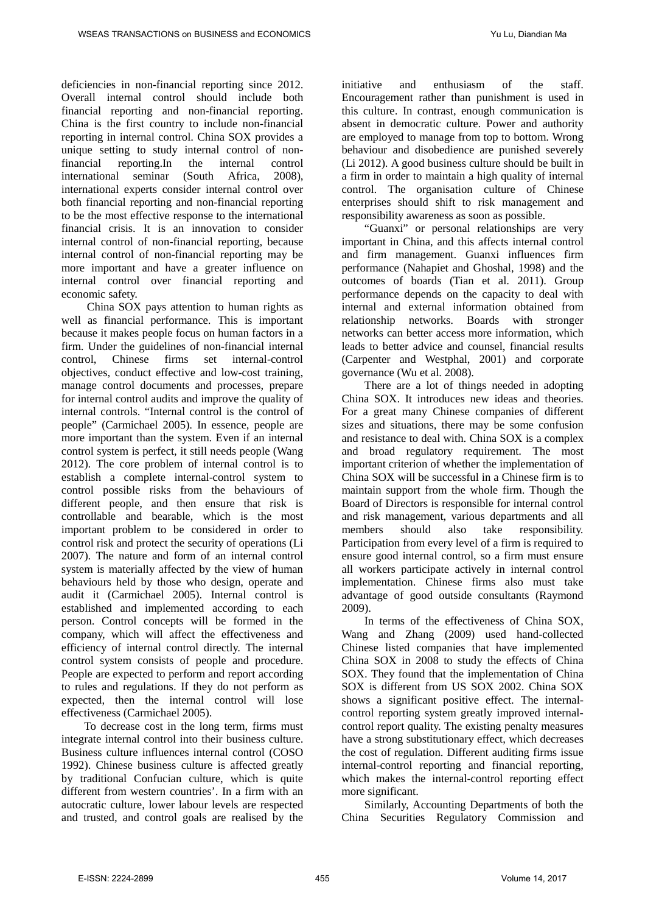deficiencies in non-financial reporting since 2012. Overall internal control should include both financial reporting and non-financial reporting. China is the first country to include non-financial reporting in internal control. China SOX provides a unique setting to study internal control of non-<br>financial reporting.In the internal control reporting.In international seminar (South Africa, 2008), international experts consider internal control over both financial reporting and non-financial reporting to be the most effective response to the international financial crisis. It is an innovation to consider internal control of non-financial reporting, because internal control of non-financial reporting may be more important and have a greater influence on internal control over financial reporting and economic safety.

China SOX pays attention to human rights as well as financial performance. This is important because it makes people focus on human factors in a firm. Under the guidelines of non-financial internal control, Chinese firms set internal-control objectives, conduct effective and low-cost training, manage control documents and processes, prepare for internal control audits and improve the quality of internal controls. "Internal control is the control of people" (Carmichael 2005). In essence, people are more important than the system. Even if an internal control system is perfect, it still needs people (Wang 2012). The core problem of internal control is to establish a complete internal-control system to control possible risks from the behaviours of different people, and then ensure that risk is controllable and bearable, which is the most important problem to be considered in order to control risk and protect the security of operations (Li 2007). The nature and form of an internal control system is materially affected by the view of human behaviours held by those who design, operate and audit it (Carmichael 2005). Internal control is established and implemented according to each person. Control concepts will be formed in the company, which will affect the effectiveness and efficiency of internal control directly. The internal control system consists of people and procedure. People are expected to perform and report according to rules and regulations. If they do not perform as expected, then the internal control will lose effectiveness (Carmichael 2005).

To decrease cost in the long term, firms must integrate internal control into their business culture. Business culture influences internal control (COSO 1992). Chinese business culture is affected greatly by traditional Confucian culture, which is quite different from western countries'. In a firm with an autocratic culture, lower labour levels are respected and trusted, and control goals are realised by the initiative and enthusiasm of the staff. Encouragement rather than punishment is used in this culture. In contrast, enough communication is absent in democratic culture. Power and authority are employed to manage from top to bottom. Wrong behaviour and disobedience are punished severely (Li 2012). A good business culture should be built in a firm in order to maintain a high quality of internal control. The organisation culture of Chinese enterprises should shift to risk management and responsibility awareness as soon as possible.

"Guanxi" or personal relationships are very important in China, and this affects internal control and firm management. Guanxi influences firm performance (Nahapiet and Ghoshal, 1998) and the outcomes of boards (Tian et al. 2011). Group performance depends on the capacity to deal with internal and external information obtained from relationship networks. Boards with stronger networks can better access more information, which leads to better advice and counsel, financial results (Carpenter and Westphal, 2001) and corporate governance (Wu et al. 2008).

There are a lot of things needed in adopting China SOX. It introduces new ideas and theories. For a great many Chinese companies of different sizes and situations, there may be some confusion and resistance to deal with. China SOX is a complex and broad regulatory requirement. The most important criterion of whether the implementation of China SOX will be successful in a Chinese firm is to maintain support from the whole firm. Though the Board of Directors is responsible for internal control and risk management, various departments and all members should also take responsibility. Participation from every level of a firm is required to ensure good internal control, so a firm must ensure all workers participate actively in internal control implementation. Chinese firms also must take advantage of good outside consultants (Raymond 2009).

In terms of the effectiveness of China SOX, Wang and Zhang (2009) used hand-collected Chinese listed companies that have implemented China SOX in 2008 to study the effects of China SOX. They found that the implementation of China SOX is different from US SOX 2002. China SOX shows a significant positive effect. The internalcontrol reporting system greatly improved internalcontrol report quality. The existing penalty measures have a strong substitutionary effect, which decreases the cost of regulation. Different auditing firms issue internal-control reporting and financial reporting, which makes the internal-control reporting effect more significant.

Similarly, Accounting Departments of both the China Securities Regulatory Commission and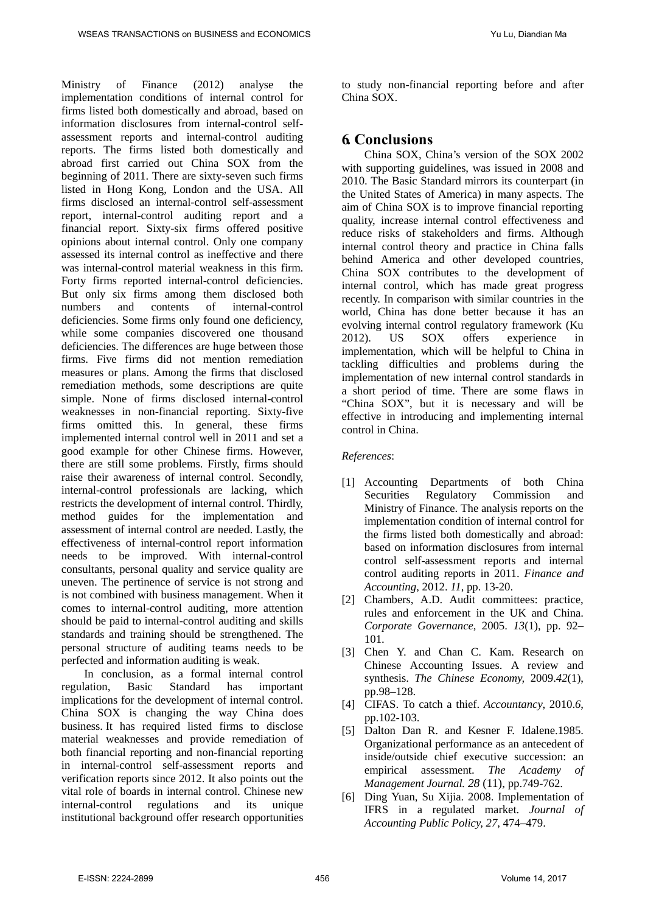Ministry of Finance (2012) analyse the implementation conditions of internal control for firms listed both domestically and abroad, based on information disclosures from internal-control selfassessment reports and internal-control auditing reports. The firms listed both domestically and abroad first carried out China SOX from the beginning of 2011. There are sixty-seven such firms listed in Hong Kong, London and the USA. All firms disclosed an internal-control self-assessment report, internal-control auditing report and a financial report. Sixty-six firms offered positive opinions about internal control. Only one company assessed its internal control as ineffective and there was internal-control material weakness in this firm. Forty firms reported internal-control deficiencies. But only six firms among them disclosed both numbers and contents of internal-control deficiencies. Some firms only found one deficiency, while some companies discovered one thousand deficiencies. The differences are huge between those firms. Five firms did not mention remediation measures or plans. Among the firms that disclosed remediation methods, some descriptions are quite simple. None of firms disclosed internal-control weaknesses in non-financial reporting. Sixty-five firms omitted this. In general, these firms implemented internal control well in 2011 and set a good example for other Chinese firms. However, there are still some problems. Firstly, firms should raise their awareness of internal control. Secondly, internal-control professionals are lacking, which restricts the development of internal control. Thirdly, method guides for the implementation and assessment of internal control are needed. Lastly, the effectiveness of internal-control report information needs to be improved. With internal-control consultants, personal quality and service quality are uneven. The pertinence of service is not strong and is not combined with business management. When it comes to internal-control auditing, more attention should be paid to internal-control auditing and skills standards and training should be strengthened. The personal structure of auditing teams needs to be perfected and information auditing is weak.

In conclusion, as a formal internal control regulation, Basic Standard has important implications for the development of internal control. China SOX is changing the way China does business. It has required listed firms to disclose material weaknesses and provide remediation of both financial reporting and non-financial reporting in internal-control self-assessment reports and verification reports since 2012. It also points out the vital role of boards in internal control. Chinese new internal-control regulations and its unique institutional background offer research opportunities to study non-financial reporting before and after China SOX.

### **6. Conclusions**

China SOX, China's version of the SOX 2002 with supporting guidelines, was issued in 2008 and 2010. The Basic Standard mirrors its counterpart (in the United States of America) in many aspects. The aim of China SOX is to improve financial reporting quality, increase internal control effectiveness and reduce risks of stakeholders and firms. Although internal control theory and practice in China falls behind America and other developed countries, China SOX contributes to the development of internal control, which has made great progress recently. In comparison with similar countries in the world, China has done better because it has an evolving internal control regulatory framework (Ku 2012). US SOX offers experience in implementation, which will be helpful to China in tackling difficulties and problems during the implementation of new internal control standards in a short period of time. There are some flaws in "China SOX", but it is necessary and will be effective in introducing and implementing internal control in China.

#### *References*:

- [1] Accounting Departments of both China Securities Regulatory Commission and Ministry of Finance. The analysis reports on the implementation condition of internal control for the firms listed both domestically and abroad: based on information disclosures from internal control self-assessment reports and internal control auditing reports in 2011. *Finance and Accounting*, 2012. *11*, pp. 13-20.
- [2] Chambers, A.D. Audit committees: practice, rules and enforcement in the UK and China. *Corporate Governance,* 2005. *13*(1), pp. 92– 101.
- [3] Chen Y. and Chan C. Kam. Research on Chinese Accounting Issues. A review and synthesis. *The Chinese Economy,* 2009.*42*(1), pp.98–128.
- [4] CIFAS. To catch a thief. *Accountancy*, 2010.*6*, pp.102-103.
- [5] Dalton Dan R. and Kesner F. Idalene.1985. Organizational performance as an antecedent of inside/outside chief executive succession: an empirical assessment. *The Academy of Management Journal. 28* (11), pp.749-762.
- [6] Ding Yuan, Su Xijia. 2008. Implementation of IFRS in a regulated market. *Journal of Accounting Public Policy, 27*, 474–479.